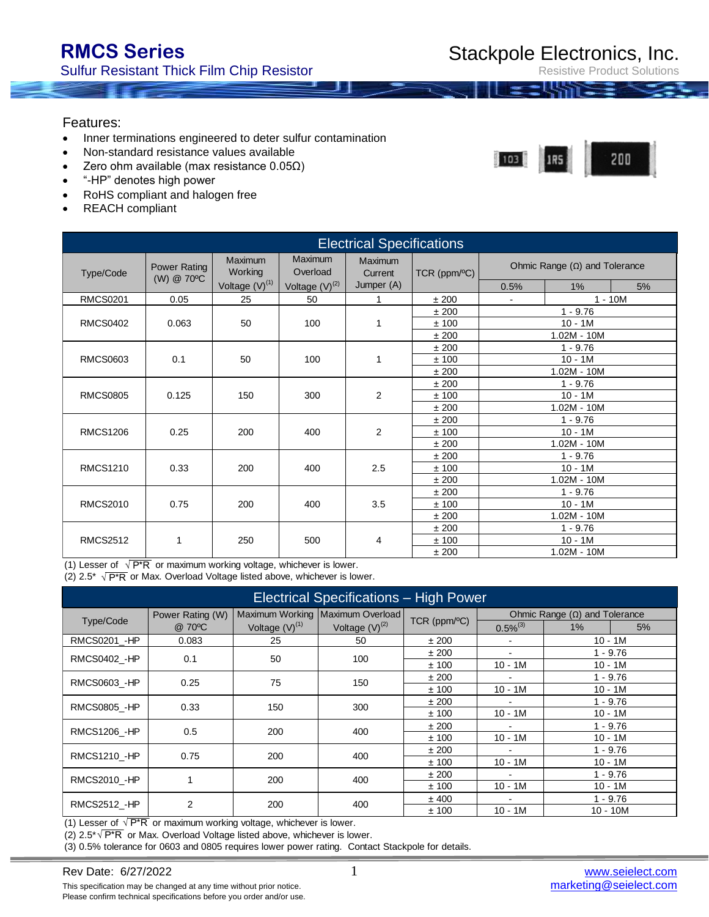$103$ 

Resistive Product Solutions

200

### Features:

- Inner terminations engineered to deter sulfur contamination
- Non-standard resistance values available
- Zero ohm available (max resistance  $0.05Ω$ )
- "-HP" denotes high power
- RoHS compliant and halogen free
- REACH compliant

| <b>Electrical Specifications</b> |                                   |                     |                     |                    |              |                                      |               |               |  |
|----------------------------------|-----------------------------------|---------------------|---------------------|--------------------|--------------|--------------------------------------|---------------|---------------|--|
| Type/Code                        | <b>Power Rating</b><br>(W) @ 70°C | Maximum<br>Working  | Maximum<br>Overload | Maximum<br>Current | TCR (ppm/°C) | Ohmic Range $(\Omega)$ and Tolerance |               |               |  |
|                                  |                                   | Voltage $(V)^{(1)}$ | Voltage $(V)^{(2)}$ | Jumper (A)         |              | 0.5%                                 | $1\%$         | 5%            |  |
| <b>RMCS0201</b>                  | 0.05                              | 25                  | 50                  | $\mathbf{1}$       | ±200         | $\blacksquare$                       | $1 - 10M$     |               |  |
|                                  |                                   |                     |                     |                    | ±200         |                                      | $1 - 9.76$    |               |  |
| <b>RMCS0402</b>                  | 0.063                             | 50                  | 100                 | 1                  | ±100         |                                      | $10 - 1M$     |               |  |
|                                  |                                   |                     |                     |                    | ±200         |                                      | $1.02M - 10M$ |               |  |
|                                  |                                   |                     |                     |                    | ±200         |                                      | $1 - 9.76$    |               |  |
| <b>RMCS0603</b>                  | 0.1                               | 50                  | 100                 | 1                  | ±100         | $10 - 1M$                            |               |               |  |
|                                  |                                   |                     |                     |                    | ±200         | $1.02M - 10M$                        |               |               |  |
|                                  |                                   |                     |                     |                    | ± 200        |                                      | $1 - 9.76$    |               |  |
| <b>RMCS0805</b>                  | 0.125                             | 150                 | 300                 | 2                  | ±100         | $10 - 1M$                            |               |               |  |
|                                  |                                   |                     |                     |                    | ±200         |                                      | $1.02M - 10M$ |               |  |
| <b>RMCS1206</b>                  |                                   |                     |                     |                    | ±200         |                                      | $1 - 9.76$    |               |  |
|                                  | 0.25                              | 200                 | 400                 | 2                  | ±100         | $10 - 1M$                            |               |               |  |
|                                  |                                   |                     |                     |                    | ±200         |                                      | $1.02M - 10M$ |               |  |
|                                  |                                   |                     |                     |                    | ±200         |                                      | $1 - 9.76$    |               |  |
| <b>RMCS1210</b>                  | 0.33                              | 200                 | 400                 | 2.5                | ±100         | $10 - 1M$                            |               |               |  |
|                                  |                                   |                     |                     |                    | ±200         |                                      | $1.02M - 10M$ |               |  |
|                                  |                                   |                     |                     |                    | ±200         |                                      | $1 - 9.76$    |               |  |
| <b>RMCS2010</b>                  | 0.75                              | 200                 | 400                 | 3.5                | ±100         | $10 - 1M$                            |               |               |  |
|                                  |                                   |                     |                     |                    | ±200         |                                      | $1.02M - 10M$ |               |  |
|                                  |                                   |                     |                     |                    | ±200         |                                      | $1 - 9.76$    |               |  |
| <b>RMCS2512</b>                  | 1                                 | 250                 | 500                 | 4                  | ± 100        |                                      | $10 - 1M$     |               |  |
|                                  |                                   |                     |                     |                    |              | ±200                                 |               | $1.02M - 10M$ |  |

(1) Lesser of  $\sqrt{P^*R}$  or maximum working voltage, whichever is lower.

(2)  $2.5^*$   $\sqrt{P^*R}$  or Max. Overload Voltage listed above, whichever is lower.

| Electrical Specifications - High Power |                  |                     |                                  |              |                                                                                                     |            |    |  |
|----------------------------------------|------------------|---------------------|----------------------------------|--------------|-----------------------------------------------------------------------------------------------------|------------|----|--|
|                                        | Power Rating (W) |                     | Maximum Working Maximum Overload |              | Ohmic Range $(\Omega)$ and Tolerance                                                                |            |    |  |
| Type/Code                              | @ 70°C           | Voltage $(V)^{(1)}$ | Voltage $(V)^{(2)}$              | TCR (ppm/°C) | $0.5\%^{(3)}$                                                                                       | $1\%$      | 5% |  |
| RMCS0201 - HP                          | 0.083            | 25                  | 50                               | ±200         |                                                                                                     | $10 - 1M$  |    |  |
| RMCS0402 - HP                          | 0.1              | 50                  | 100                              | ±200         | $\blacksquare$                                                                                      | $1 - 9.76$ |    |  |
|                                        |                  |                     |                                  | ±100         | $10 - 1M$                                                                                           |            |    |  |
| RMCS0603 - HP                          | 0.25             | 75                  | 150                              | ±200         | $10 - 1M$<br>$1 - 9.76$<br>$\overline{a}$<br>$10 - 1M$<br>$10 - 1M$<br>$1 - 9.76$<br>$\blacksquare$ |            |    |  |
|                                        |                  |                     |                                  | ±100         |                                                                                                     |            |    |  |
| <b>RMCS0805 - HP</b>                   | 0.33             | 150                 | 300                              | ±200         |                                                                                                     |            |    |  |
|                                        |                  |                     |                                  | ±100         | $10 - 1M$                                                                                           | $10 - 1M$  |    |  |
| RMCS1206 - HP                          | 0.5              | 200                 | 400                              | ±200         | $\blacksquare$                                                                                      | $1 - 9.76$ |    |  |
|                                        |                  |                     |                                  | ±100         | $10 - 1M$                                                                                           | $10 - 1M$  |    |  |
| <b>RMCS1210 - HP</b>                   | 0.75             | 200                 | 400                              | ±200         | $\blacksquare$                                                                                      | 1 - 9.76   |    |  |
|                                        |                  |                     |                                  | ±100         | $10 - 1M$                                                                                           | $10 - 1M$  |    |  |
| RMCS2010 - HP                          |                  | 200                 | 400                              | ±200         |                                                                                                     | 1 - 9.76   |    |  |
|                                        |                  |                     |                                  | ±100         | $10 - 1M$                                                                                           | $10 - 1M$  |    |  |
|                                        | $\overline{2}$   | 200                 | 400                              | ± 400        | $\blacksquare$                                                                                      | $1 - 9.76$ |    |  |
| RMCS2512 - HP                          |                  |                     |                                  | ±100         | $10 - 1M$                                                                                           | $10 - 10M$ |    |  |

(1) Lesser of  $\sqrt{P^*R}$  or maximum working voltage, whichever is lower.

This specification may be changed at any time without prior notice. Please confirm technical specifications before you order and/or use.

(2)  $2.5^{\ast}\sqrt{P^*R}$  or Max. Overload Voltage listed above, whichever is lower.

(3) 0.5% tolerance for 0603 and 0805 requires lower power rating. Contact Stackpole for details.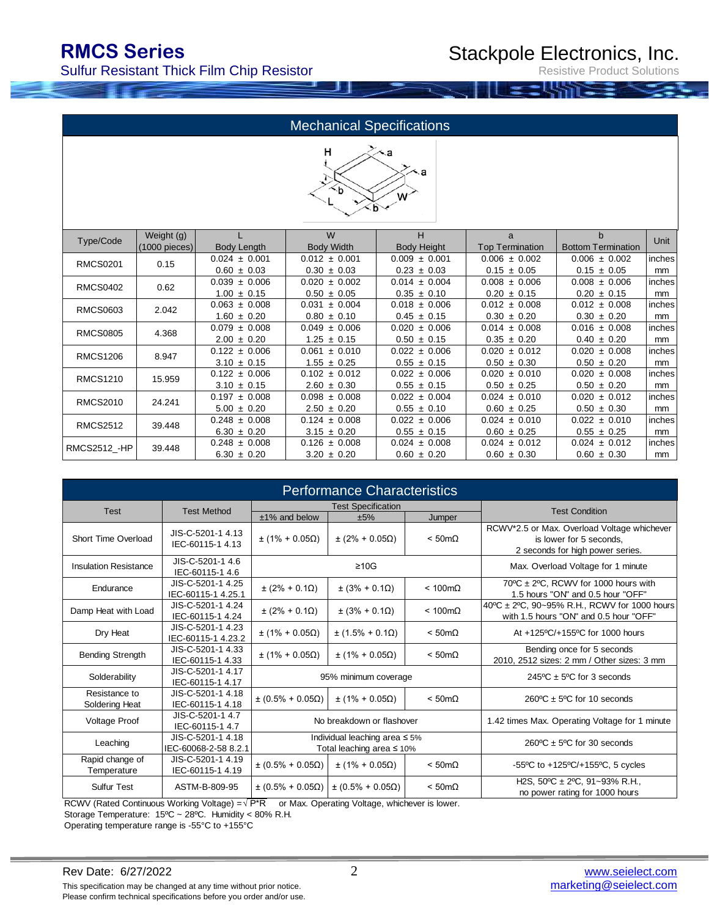Sulfur Resistant Thick Film Chip Resistor

Resistive Product Solutions

### Mechanical Specifications



| Type/Code           | Weight (g)      |                   | W                 | н                  | a                      | $\mathbf b$               | Unit   |
|---------------------|-----------------|-------------------|-------------------|--------------------|------------------------|---------------------------|--------|
|                     | $(1000$ pieces) | Body Length       | <b>Body Width</b> | <b>Body Height</b> | <b>Top Termination</b> | <b>Bottom Termination</b> |        |
| <b>RMCS0201</b>     | 0.15            | $0.024 \pm 0.001$ | $0.012 \pm 0.001$ | $0.009 \pm 0.001$  | $0.006 \pm 0.002$      | $0.006 \pm 0.002$         | inches |
|                     |                 | $0.60 \pm 0.03$   | $0.30 \pm 0.03$   | $0.23 \pm 0.03$    | $0.15 \pm 0.05$        | $0.15 \pm 0.05$           | mm     |
| <b>RMCS0402</b>     | 0.62            | $0.039 \pm 0.006$ | $0.020 \pm 0.002$ | $0.014 \pm 0.004$  | $0.008 \pm 0.006$      | $0.008 \pm 0.006$         | inches |
|                     |                 | $1.00 \pm 0.15$   | $0.50 \pm 0.05$   | $0.35 \pm 0.10$    | $0.20 \pm 0.15$        | $0.20 \pm 0.15$           | mm     |
| RMCS0603            | 2.042           | $0.063 \pm 0.008$ | ± 0.004<br>0.031  | $0.018 \pm 0.006$  | $0.012 \pm 0.008$      | $0.012 \pm 0.008$         | inches |
|                     |                 | $1.60 \pm 0.20$   | $0.80 \pm 0.10$   | $0.45 \pm 0.15$    | $0.30 \pm 0.20$        | $0.30 \pm 0.20$           | mm     |
| <b>RMCS0805</b>     | 4.368           | $0.079 \pm 0.008$ | $0.049 \pm 0.006$ | $0.020 \pm 0.006$  | $0.014 \pm 0.008$      | $0.016 \pm 0.008$         | inches |
|                     |                 | $2.00 \pm 0.20$   | $1.25 \pm 0.15$   | $0.50 \pm 0.15$    | $0.35 \pm 0.20$        | $0.40 \pm 0.20$           | mm     |
| <b>RMCS1206</b>     | 8.947           | $0.122 \pm 0.006$ | ± 0.010<br>0.061  | $0.022 \pm 0.006$  | $0.020 \pm 0.012$      | $0.020 \pm 0.008$         | inches |
|                     |                 | $3.10 \pm 0.15$   | $1.55 \pm 0.25$   | $0.55 \pm 0.15$    | $0.50 \pm 0.30$        | $0.50 \pm 0.20$           | mm     |
| <b>RMCS1210</b>     | 15.959          | $0.122 \pm 0.006$ | $0.102 \pm 0.012$ | $0.022 \pm 0.006$  | $0.020 \pm 0.010$      | $0.020 \pm 0.008$         | inches |
|                     |                 | $3.10 \pm 0.15$   | $2.60 \pm 0.30$   | $0.55 \pm 0.15$    | $0.50 \pm 0.25$        | $0.50 \pm 0.20$           | mm     |
| <b>RMCS2010</b>     | 24.241          | $0.197 \pm 0.008$ | $0.098 \pm 0.008$ | $0.022 \pm 0.004$  | $0.024 \pm 0.010$      | $0.020 \pm 0.012$         | inches |
|                     |                 | $5.00 \pm 0.20$   | $2.50 \pm 0.20$   | $0.55 \pm 0.10$    | $0.60 \pm 0.25$        | $0.50 \pm 0.30$           | mm     |
| <b>RMCS2512</b>     | 39.448          | $0.248 \pm 0.008$ | $0.124 \pm 0.008$ | $0.022 \pm 0.006$  | $0.024 \pm 0.010$      | $0.022 \pm 0.010$         | inches |
|                     |                 | $6.30 \pm 0.20$   | $3.15 \pm 0.20$   | $0.55 \pm 0.15$    | $0.60 \pm 0.25$        | $0.55 \pm 0.25$           | mm     |
|                     | 39.448          | $0.248 \pm 0.008$ | $0.126 \pm 0.008$ | $0.024 \pm 0.008$  | $0.024 \pm 0.012$      | $0.024 \pm 0.012$         | inches |
| <b>RMCS2512 -HP</b> |                 | $6.30 \pm 0.20$   | $3.20 \pm 0.20$   | $0.60 \pm 0.20$    | $0.60 \pm 0.30$        | $0.60 \pm 0.30$           | mm     |

| <b>Performance Characteristics</b> |                                           |                            |                                                                        |                        |                                                                                                            |  |
|------------------------------------|-------------------------------------------|----------------------------|------------------------------------------------------------------------|------------------------|------------------------------------------------------------------------------------------------------------|--|
| <b>Test</b>                        | <b>Test Method</b>                        |                            | <b>Test Specification</b>                                              | <b>Test Condition</b>  |                                                                                                            |  |
|                                    |                                           | $±1\%$ and below           | ±5%                                                                    | Jumper                 |                                                                                                            |  |
| Short Time Overload                | JIS-C-5201-1 4.13<br>IEC-60115-1 4.13     | $±$ (1% + 0.05Ω)           | $\pm (2\% + 0.05\Omega)$                                               | $< 50 \text{m}\Omega$  | RCWV*2.5 or Max. Overload Voltage whichever<br>is lower for 5 seconds.<br>2 seconds for high power series. |  |
| <b>Insulation Resistance</b>       | JIS-C-5201-1 4.6<br>IEC-60115-1 4.6       |                            | $\geq 10$ G                                                            |                        | Max. Overload Voltage for 1 minute                                                                         |  |
| Endurance                          | JIS-C-5201-1 4.25<br>IEC-60115-1 4.25.1   | $\pm (2\% + 0.1\Omega)$    | $\pm (3\% + 0.1\Omega)$                                                | $< 100 \text{m}\Omega$ | 70°C ± 2°C, RCWV for 1000 hours with<br>1.5 hours "ON" and 0.5 hour "OFF"                                  |  |
| Damp Heat with Load                | JIS-C-5201-1 4.24<br>IEC-60115-1 4.24     | $\pm (2\% + 0.1\Omega)$    | $\pm (3\% + 0.1\Omega)$                                                | $< 100 \text{m}\Omega$ | 40°C ± 2°C, 90~95% R.H., RCWV for 1000 hours<br>with 1.5 hours "ON" and 0.5 hour "OFF"                     |  |
| Dry Heat                           | JIS-C-5201-1 4.23<br>IEC-60115-1 4.23.2   | $\pm (1\% + 0.05\Omega)$   | $\pm$ (1.5% + 0.1 $\Omega$ )                                           | $< 50 \text{m}\Omega$  | At +125°C/+155°C for 1000 hours                                                                            |  |
| <b>Bending Strength</b>            | JIS-C-5201-1 4.33<br>IEC-60115-1 4.33     | $\pm (1\% + 0.05\Omega)$   | $±$ (1% + 0.05Ω)                                                       | $< 50 \text{m}\Omega$  | Bending once for 5 seconds<br>2010, 2512 sizes: 2 mm / Other sizes: 3 mm                                   |  |
| Solderability                      | JIS-C-5201-1 4.17<br>IEC-60115-1 4.17     |                            | 95% minimum coverage                                                   |                        | $245^{\circ}$ C ± 5°C for 3 seconds                                                                        |  |
| Resistance to<br>Soldering Heat    | JIS-C-5201-1 4.18<br>IEC-60115-1 4.18     | $\pm (0.5\% + 0.05\Omega)$ | $±$ (1% + 0.05Ω)                                                       | $< 50 \text{m}\Omega$  | $260^{\circ}$ C ± 5 <sup>o</sup> C for 10 seconds                                                          |  |
| Voltage Proof                      | JIS-C-5201-1 4.7<br>IEC-60115-1 4.7       |                            | No breakdown or flashover                                              |                        | 1.42 times Max. Operating Voltage for 1 minute                                                             |  |
| Leaching                           | JIS-C-5201-1 4.18<br>IEC-60068-2-58 8.2.1 |                            | Individual leaching area $\leq 5\%$<br>Total leaching area $\leq 10\%$ |                        | $260^{\circ}$ C ± 5°C for 30 seconds                                                                       |  |
| Rapid change of<br>Temperature     | JIS-C-5201-1 4.19<br>IEC-60115-1 4.19     | $\pm (0.5\% + 0.05\Omega)$ | $±$ (1% + 0.05Ω)                                                       | $<$ 50m $\Omega$       | -55°C to $+125$ °C/+155°C, 5 cycles                                                                        |  |
| <b>Sulfur Test</b>                 | ASTM-B-809-95                             | $\pm (0.5\% + 0.05\Omega)$ | $\pm (0.5\% + 0.05\Omega)$                                             | $< 50 \text{m}\Omega$  | H2S, 50°C ± 2°C, 91~93% R.H.,<br>no power rating for 1000 hours                                            |  |

RCWV (Rated Continuous Working Voltage) = $\sqrt{P^*R}$  or Max. Operating Voltage, whichever is lower.

Storage Temperature: 15ºC ~ 28ºC. Humidity < 80% R.H.

Operating temperature range is -55°C to +155°C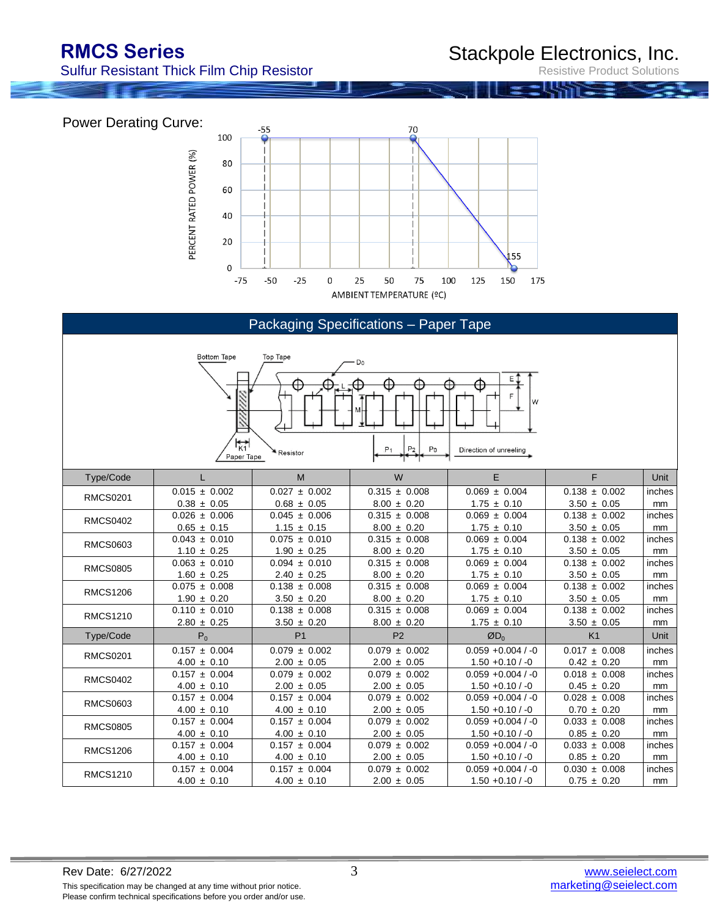Sulfur Resistant Thick Film Chip Resistor

Stackpole Electronics, Inc.

Resistive Product Solutions

Power Derating Curve:  $-55$ 70 100 PERCENT RATED POWER (%) 80 60 40 20 55  $\pmb{0}$  $-75$  $-50$  $-25$  $\pmb{0}$ 25 50 75 100 125 150 175 AMBIENT TEMPERATURE (°C)

| Packaging Specifications - Paper Tape                                                                                                                                                       |                   |                   |                            |                      |                   |        |  |  |
|---------------------------------------------------------------------------------------------------------------------------------------------------------------------------------------------|-------------------|-------------------|----------------------------|----------------------|-------------------|--------|--|--|
| <b>Bottom Tape</b><br>Top Tape<br>D <sub>0</sub><br>E<br>Æ<br>æ<br>W<br>$\mathbf{r}_{\kappa 1}$<br>P <sub>2</sub><br>P <sub>0</sub><br>P <sub>1</sub><br>Direction of unreeling<br>Resistor |                   |                   |                            |                      |                   |        |  |  |
|                                                                                                                                                                                             | Paper Tape        |                   |                            |                      |                   |        |  |  |
| Type/Code                                                                                                                                                                                   | L                 | M                 | W                          | E                    | F                 | Unit   |  |  |
| <b>RMCS0201</b>                                                                                                                                                                             | $0.015 \pm 0.002$ | $0.027 \pm 0.002$ | $\overline{0.315}$ ± 0.008 | $0.069 \pm 0.004$    | $0.138 \pm 0.002$ | inches |  |  |
|                                                                                                                                                                                             | $0.38 \pm 0.05$   | $0.68 \pm 0.05$   | $8.00 \pm 0.20$            | $1.75 \pm 0.10$      | $3.50 \pm 0.05$   | mm     |  |  |
| <b>RMCS0402</b>                                                                                                                                                                             | $0.026 \pm 0.006$ | $0.045 \pm 0.006$ | $0.315 \pm 0.008$          | $0.069 \pm 0.004$    | $0.138 \pm 0.002$ | inches |  |  |
|                                                                                                                                                                                             | $0.65 \pm 0.15$   | $1.15 \pm 0.15$   | $8.00 \pm 0.20$            | $1.75 \pm 0.10$      | $3.50 \pm 0.05$   | mm     |  |  |
| <b>RMCS0603</b>                                                                                                                                                                             | $0.043 \pm 0.010$ | $0.075 \pm 0.010$ | $0.315 \pm 0.008$          | $0.069 \pm 0.004$    | $0.138 \pm 0.002$ | inches |  |  |
|                                                                                                                                                                                             | $1.10 \pm 0.25$   | $1.90 \pm 0.25$   | $8.00 \pm 0.20$            | $1.75 \pm 0.10$      | $3.50 \pm 0.05$   | mm     |  |  |
| <b>RMCS0805</b>                                                                                                                                                                             | $0.063 \pm 0.010$ | $0.094 \pm 0.010$ | $0.315 \pm 0.008$          | $0.069 \pm 0.004$    | $0.138 \pm 0.002$ | inches |  |  |
|                                                                                                                                                                                             | $1.60 \pm 0.25$   | $2.40 \pm 0.25$   | $8.00 \pm 0.20$            | $1.75 \pm 0.10$      | $3.50 \pm 0.05$   | mm     |  |  |
| <b>RMCS1206</b>                                                                                                                                                                             | $0.075 \pm 0.008$ | $0.138 \pm 0.008$ | $0.315 \pm 0.008$          | $0.069 \pm 0.004$    | $0.138 \pm 0.002$ | inches |  |  |
|                                                                                                                                                                                             | $1.90 \pm 0.20$   | $3.50 \pm 0.20$   | $8.00 \pm 0.20$            | $1.75 \pm 0.10$      | $3.50 \pm 0.05$   | mm     |  |  |
| <b>RMCS1210</b>                                                                                                                                                                             | $0.110 \pm 0.010$ | $0.138 \pm 0.008$ | $0.315 \pm 0.008$          | $0.069 \pm 0.004$    | $0.138 \pm 0.002$ | inches |  |  |
|                                                                                                                                                                                             | $2.80 \pm 0.25$   | $3.50 \pm 0.20$   | $8.00 \pm 0.20$            | $1.75 \pm 0.10$      | $3.50 \pm 0.05$   | mm     |  |  |
| Type/Code                                                                                                                                                                                   | $P_0$             | P <sub>1</sub>    | P <sub>2</sub>             | $ØD_0$               | K <sub>1</sub>    | Unit   |  |  |
| <b>RMCS0201</b>                                                                                                                                                                             | $0.157 \pm 0.004$ | $0.079 \pm 0.002$ | $0.079 \pm 0.002$          | $0.059 + 0.004 / -0$ | $0.017 \pm 0.008$ | inches |  |  |
|                                                                                                                                                                                             | $4.00 \pm 0.10$   | $2.00 \pm 0.05$   | $2.00 \pm 0.05$            | $1.50 + 0.10 / -0$   | $0.42 \pm 0.20$   | mm     |  |  |
| <b>RMCS0402</b>                                                                                                                                                                             | $0.157 \pm 0.004$ | $0.079 \pm 0.002$ | $0.079 \pm 0.002$          | $0.059 + 0.004 / -0$ | $0.018 \pm 0.008$ | inches |  |  |
|                                                                                                                                                                                             | $4.00 \pm 0.10$   | $2.00 \pm 0.05$   | $2.00 \pm 0.05$            | $1.50 + 0.10 / -0$   | $0.45 \pm 0.20$   | mm     |  |  |
| <b>RMCS0603</b>                                                                                                                                                                             | $0.157 \pm 0.004$ | $0.157 \pm 0.004$ | $0.079 \pm 0.002$          | $0.059 + 0.004 / -0$ | $0.028 \pm 0.008$ | inches |  |  |
|                                                                                                                                                                                             | $4.00 \pm 0.10$   | $4.00 \pm 0.10$   | $2.00 \pm 0.05$            | $1.50 + 0.10 / -0$   | $0.70 \pm 0.20$   | mm     |  |  |
| <b>RMCS0805</b>                                                                                                                                                                             | $0.157 \pm 0.004$ | $0.157 \pm 0.004$ | $0.079 \pm 0.002$          | $0.059 + 0.004 / -0$ | $0.033 \pm 0.008$ | inches |  |  |
|                                                                                                                                                                                             | $4.00 \pm 0.10$   | $4.00 \pm 0.10$   | $2.00 \pm 0.05$            | $1.50 + 0.10 / -0$   | $0.85 \pm 0.20$   | mm     |  |  |
| <b>RMCS1206</b>                                                                                                                                                                             | $0.157 \pm 0.004$ | $0.157 \pm 0.004$ | $0.079 \pm 0.002$          | $0.059 + 0.004 / -0$ | $0.033 \pm 0.008$ | inches |  |  |
|                                                                                                                                                                                             | $4.00 \pm 0.10$   | $4.00 \pm 0.10$   | $2.00 \pm 0.05$            | $1.50 + 0.10 / -0$   | $0.85 \pm 0.20$   | mm     |  |  |
| <b>RMCS1210</b>                                                                                                                                                                             | $0.157 \pm 0.004$ | $0.157 \pm 0.004$ | $0.079 \pm 0.002$          | $0.059 + 0.004 / -0$ | $0.030 \pm 0.008$ | inches |  |  |
|                                                                                                                                                                                             | $4.00 \pm 0.10$   | $4.00 \pm 0.10$   | $2.00 \pm 0.05$            | $1.50 + 0.10 / -0$   | $0.75 \pm 0.20$   | mm     |  |  |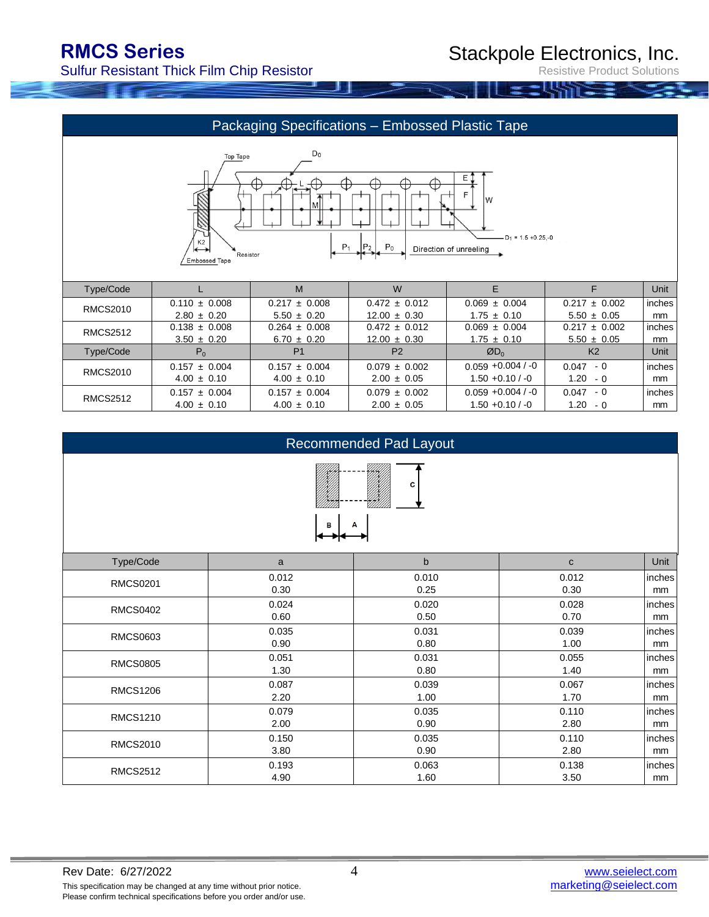Sulfur Resistant Thick Film Chip Resistor

Resistive Product Solutions





#### Recommended Pad Layout



| Type/Code       | a     | b     | $\mathbf{C}$ | Unit   |
|-----------------|-------|-------|--------------|--------|
| <b>RMCS0201</b> | 0.012 | 0.010 | 0.012        | inches |
|                 | 0.30  | 0.25  | 0.30         | mm     |
| <b>RMCS0402</b> | 0.024 | 0.020 | 0.028        | inches |
|                 | 0.60  | 0.50  | 0.70         | mm     |
| <b>RMCS0603</b> | 0.035 | 0.031 | 0.039        | inches |
|                 | 0.90  | 0.80  | 1.00         | mm     |
| <b>RMCS0805</b> | 0.051 | 0.031 | 0.055        | inches |
|                 | 1.30  | 0.80  | 1.40         | mm     |
| <b>RMCS1206</b> | 0.087 | 0.039 | 0.067        | inches |
|                 | 2.20  | 1.00  | 1.70         | mm     |
|                 | 0.079 | 0.035 | 0.110        | inches |
| <b>RMCS1210</b> | 2.00  | 0.90  | 2.80         | mm     |
| <b>RMCS2010</b> | 0.150 | 0.035 | 0.110        | inches |
|                 | 3.80  | 0.90  | 2.80         | mm     |
| <b>RMCS2512</b> | 0.193 | 0.063 | 0.138        | inches |
|                 | 4.90  | 1.60  | 3.50         | mm     |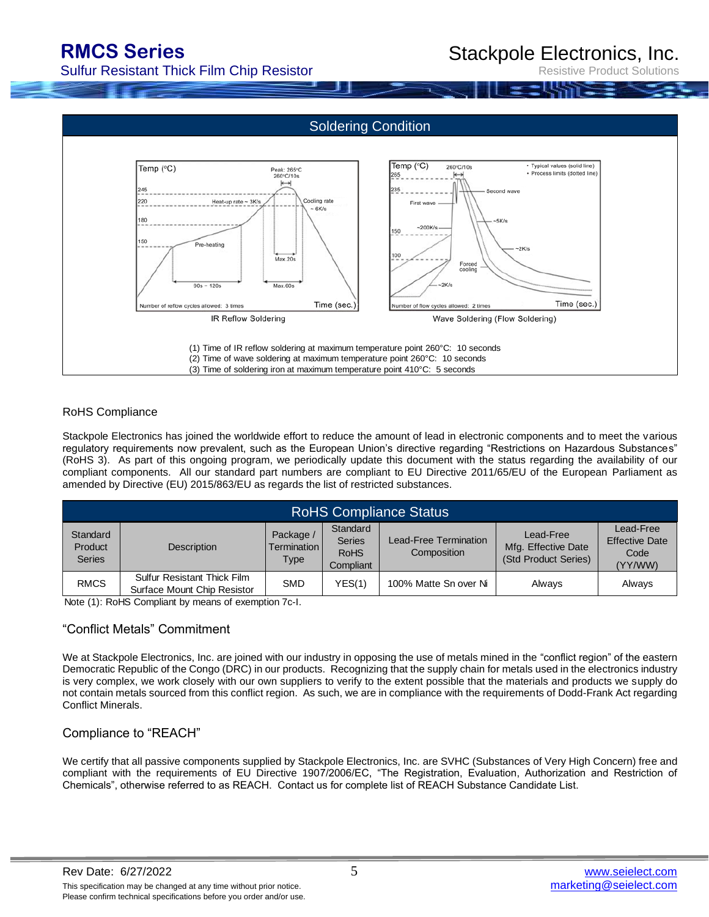Stackpole Electronics, Inc.

Sulfur Resistant Thick Film Chip Resistor

Resistive Product Solutions



#### RoHS Compliance

Stackpole Electronics has joined the worldwide effort to reduce the amount of lead in electronic components and to meet the various regulatory requirements now prevalent, such as the European Union's directive regarding "Restrictions on Hazardous Substances" (RoHS 3). As part of this ongoing program, we periodically update this document with the status regarding the availability of our compliant components. All our standard part numbers are compliant to EU Directive 2011/65/EU of the European Parliament as amended by Directive (EU) 2015/863/EU as regards the list of restricted substances.

| <b>RoHS Compliance Status</b>        |                                                                   |                                    |                                                       |                                      |                                                          |                                                       |  |  |
|--------------------------------------|-------------------------------------------------------------------|------------------------------------|-------------------------------------------------------|--------------------------------------|----------------------------------------------------------|-------------------------------------------------------|--|--|
| Standard<br>Product<br><b>Series</b> | <b>Description</b>                                                | Package /<br>Termination I<br>Type | Standard<br><b>Series</b><br><b>RoHS</b><br>Compliant | Lead-Free Termination<br>Composition | Lead-Free<br>Mfg. Effective Date<br>(Std Product Series) | Lead-Free<br><b>Effective Date</b><br>Code<br>(YY/WW) |  |  |
| <b>RMCS</b>                          | <b>Sulfur Resistant Thick Film</b><br>Surface Mount Chip Resistor | <b>SMD</b>                         | YES(1)                                                | 100% Matte Sn over Ni                | Always                                                   | Always                                                |  |  |

Note (1): RoHS Compliant by means of exemption 7c-I.

### "Conflict Metals" Commitment

We at Stackpole Electronics, Inc. are joined with our industry in opposing the use of metals mined in the "conflict region" of the eastern Democratic Republic of the Congo (DRC) in our products. Recognizing that the supply chain for metals used in the electronics industry is very complex, we work closely with our own suppliers to verify to the extent possible that the materials and products we supply do not contain metals sourced from this conflict region. As such, we are in compliance with the requirements of Dodd-Frank Act regarding Conflict Minerals.

### Compliance to "REACH"

We certify that all passive components supplied by Stackpole Electronics, Inc. are SVHC (Substances of Very High Concern) free and compliant with the requirements of EU Directive 1907/2006/EC, "The Registration, Evaluation, Authorization and Restriction of Chemicals", otherwise referred to as REACH. Contact us for complete list of REACH Substance Candidate List.